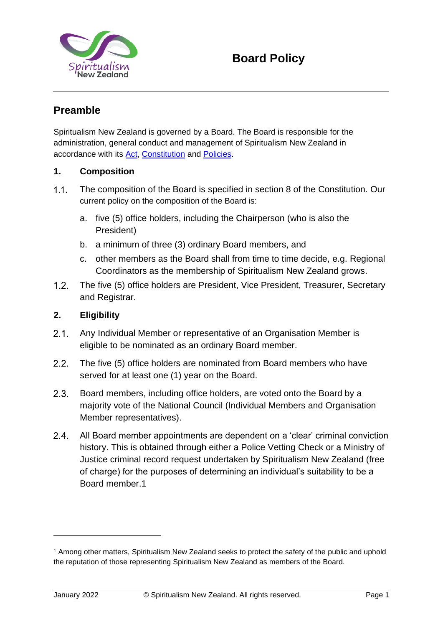

## **Preamble**

Spiritualism New Zealand is governed by a Board. The Board is responsible for the administration, general conduct and management of Spiritualism New Zealand in accordance with its [Act,](https://spiritualism.org.nz/act-of-parliment/) [Constitution](https://spiritualism.org.nz/constitution/) and [Policies.](https://spiritualism.org.nz/policies-2/)

### **1. Composition**

- $1.1.$ The composition of the Board is specified in section 8 of the [Constitution.](https://spiritualism.org.nz/constitution/) Our current policy on the composition of the Board is:
	- a. five (5) office holders, including the Chairperson (who is also the President)
	- b. a minimum of three (3) ordinary Board members, and
	- c. other members as the Board shall from time to time decide, e.g. Regional Coordinators as the membership of Spiritualism New Zealand grows.
- $1.2<sub>1</sub>$ The five (5) office holders are President, Vice President, Treasurer, Secretary and Registrar.

### **2. Eligibility**

- $2.1.$ Any Individual Member or representative of an Organisation Member is eligible to be nominated as an ordinary Board member.
- $2.2.$ The five (5) office holders are nominated from Board members who have served for at least one (1) year on the Board.
- $2.3.$ Board members, including office holders, are voted onto the Board by a majority vote of the National Council (Individual Members and Organisation Member representatives).
- $2.4.$ All Board member appointments are dependent on a 'clear' criminal conviction history. This is obtained through either a Police Vetting Check or a Ministry of Justice criminal record request undertaken by Spiritualism New Zealand (free of charge) for the purposes of determining an individual's suitability to be a Board member.1

<sup>1</sup> Among other matters, Spiritualism New Zealand seeks to protect the safety of the public and uphold the reputation of those representing Spiritualism New Zealand as members of the Board.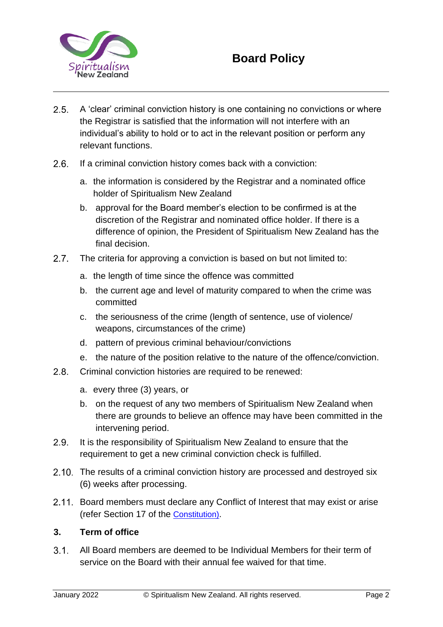

- $2.5.$ A 'clear' criminal conviction history is one containing no convictions or where the Registrar is satisfied that the information will not interfere with an individual's ability to hold or to act in the relevant position or perform any relevant functions.
- $2.6.$ If a criminal conviction history comes back with a conviction:
	- a. the information is considered by the Registrar and a nominated office holder of Spiritualism New Zealand
	- b. approval for the Board member's election to be confirmed is at the discretion of the Registrar and nominated office holder. If there is a difference of opinion, the President of Spiritualism New Zealand has the final decision.
- $2.7.$ The criteria for approving a conviction is based on but not limited to:
	- a. the length of time since the offence was committed
	- b. the current age and level of maturity compared to when the crime was committed
	- c. the seriousness of the crime (length of sentence, use of violence/ weapons, circumstances of the crime)
	- d. pattern of previous criminal behaviour/convictions
	- e. the nature of the position relative to the nature of the offence/conviction.
- 2.8. Criminal conviction histories are required to be renewed:
	- a. every three (3) years, or
	- b. on the request of any two members of Spiritualism New Zealand when there are grounds to believe an offence may have been committed in the intervening period.
- $2.9.$ It is the responsibility of Spiritualism New Zealand to ensure that the requirement to get a new criminal conviction check is fulfilled.
- 2.10. The results of a criminal conviction history are processed and destroyed six (6) weeks after processing.
- 2.11. Board members must declare any Conflict of Interest that may exist or arise (refer Section 17 of the [Constitution\)](https://spiritualism.org.nz/constitution/).

### **3. Term of office**

 $3.1$ All Board members are deemed to be Individual Members for their term of service on the Board with their annual fee waived for that time.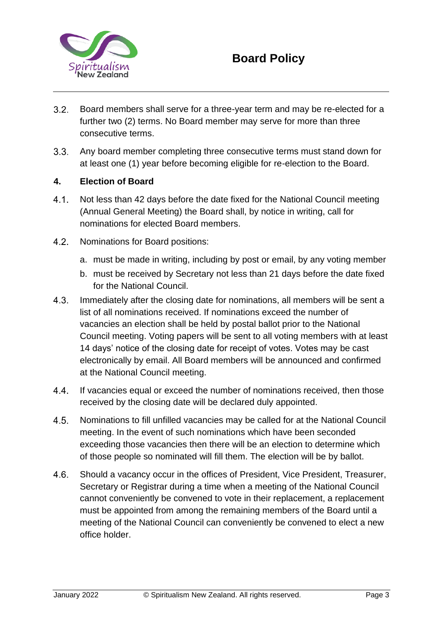

- $3.2.$ Board members shall serve for a three-year term and may be re-elected for a further two (2) terms. No Board member may serve for more than three consecutive terms.
- $3.3.$ Any board member completing three consecutive terms must stand down for at least one (1) year before becoming eligible for re-election to the Board.

#### **4. Election of Board**

- $4.1$ Not less than 42 days before the date fixed for the National Council meeting (Annual General Meeting) the Board shall, by notice in writing, call for nominations for elected Board members.
- $4.2.$ Nominations for Board positions:
	- a. must be made in writing, including by post or email, by any voting member
	- b. must be received by Secretary not less than 21 days before the date fixed for the National Council.
- $4.3.$ Immediately after the closing date for nominations, all members will be sent a list of all nominations received. If nominations exceed the number of vacancies an election shall be held by postal ballot prior to the National Council meeting. Voting papers will be sent to all voting members with at least 14 days' notice of the closing date for receipt of votes. Votes may be cast electronically by email. All Board members will be announced and confirmed at the National Council meeting.
- $4.4$ If vacancies equal or exceed the number of nominations received, then those received by the closing date will be declared duly appointed.
- $4.5.$ Nominations to fill unfilled vacancies may be called for at the National Council meeting. In the event of such nominations which have been seconded exceeding those vacancies then there will be an election to determine which of those people so nominated will fill them. The election will be by ballot.
- $4.6.$ Should a vacancy occur in the offices of President, Vice President, Treasurer, Secretary or Registrar during a time when a meeting of the National Council cannot conveniently be convened to vote in their replacement, a replacement must be appointed from among the remaining members of the Board until a meeting of the National Council can conveniently be convened to elect a new office holder.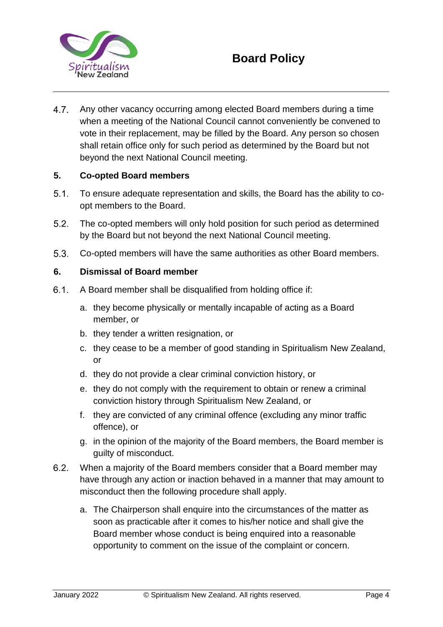

# **Board Policy**

 $4.7.$ Any other vacancy occurring among elected Board members during a time when a meeting of the National Council cannot conveniently be convened to vote in their replacement, may be filled by the Board. Any person so chosen shall retain office only for such period as determined by the Board but not beyond the next National Council meeting.

### **5. Co-opted Board members**

- $5.1$ To ensure adequate representation and skills, the Board has the ability to coopt members to the Board.
- $5.2.$ The co-opted members will only hold position for such period as determined by the Board but not beyond the next National Council meeting.
- $5.3.$ Co-opted members will have the same authorities as other Board members.

### **6. Dismissal of Board member**

- $6.1.$ A Board member shall be disqualified from holding office if:
	- a. they become physically or mentally incapable of acting as a Board member, or
	- b. they tender a written resignation, or
	- c. they cease to be a member of good standing in Spiritualism New Zealand, or
	- d. they do not provide a clear criminal conviction history, or
	- e. they do not comply with the requirement to obtain or renew a criminal conviction history through Spiritualism New Zealand, or
	- f. they are convicted of any criminal offence (excluding any minor traffic offence), or
	- g. in the opinion of the majority of the Board members, the Board member is guilty of misconduct.
- $6.2.$ When a majority of the Board members consider that a Board member may have through any action or inaction behaved in a manner that may amount to misconduct then the following procedure shall apply.
	- a. The Chairperson shall enquire into the circumstances of the matter as soon as practicable after it comes to his/her notice and shall give the Board member whose conduct is being enquired into a reasonable opportunity to comment on the issue of the complaint or concern.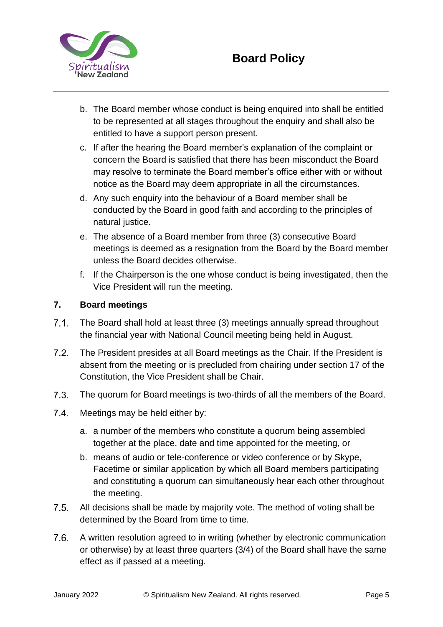

- b. The Board member whose conduct is being enquired into shall be entitled to be represented at all stages throughout the enquiry and shall also be entitled to have a support person present.
- c. If after the hearing the Board member's explanation of the complaint or concern the Board is satisfied that there has been misconduct the Board may resolve to terminate the Board member's office either with or without notice as the Board may deem appropriate in all the circumstances.
- d. Any such enquiry into the behaviour of a Board member shall be conducted by the Board in good faith and according to the principles of natural justice.
- e. The absence of a Board member from three (3) consecutive Board meetings is deemed as a resignation from the Board by the Board member unless the Board decides otherwise.
- f. If the Chairperson is the one whose conduct is being investigated, then the Vice President will run the meeting.

### **7. Board meetings**

- $7.1$ The Board shall hold at least three (3) meetings annually spread throughout the financial year with National Council meeting being held in August.
- $7.2.$ The President presides at all Board meetings as the Chair. If the President is absent from the meeting or is precluded from chairing under section 17 of the [Constitution,](https://spiritualism.org.nz/constitution/) the Vice President shall be Chair.
- $7.3.$ The quorum for Board meetings is two-thirds of all the members of the Board.
- $7.4.$ Meetings may be held either by:
	- a. a number of the members who constitute a quorum being assembled together at the place, date and time appointed for the meeting, or
	- b. means of audio or tele-conference or video conference or by Skype, Facetime or similar application by which all Board members participating and constituting a quorum can simultaneously hear each other throughout the meeting.
- $7.5.$ All decisions shall be made by majority vote. The method of voting shall be determined by the Board from time to time.
- $7.6.$ A written resolution agreed to in writing (whether by electronic communication or otherwise) by at least three quarters (3/4) of the Board shall have the same effect as if passed at a meeting.